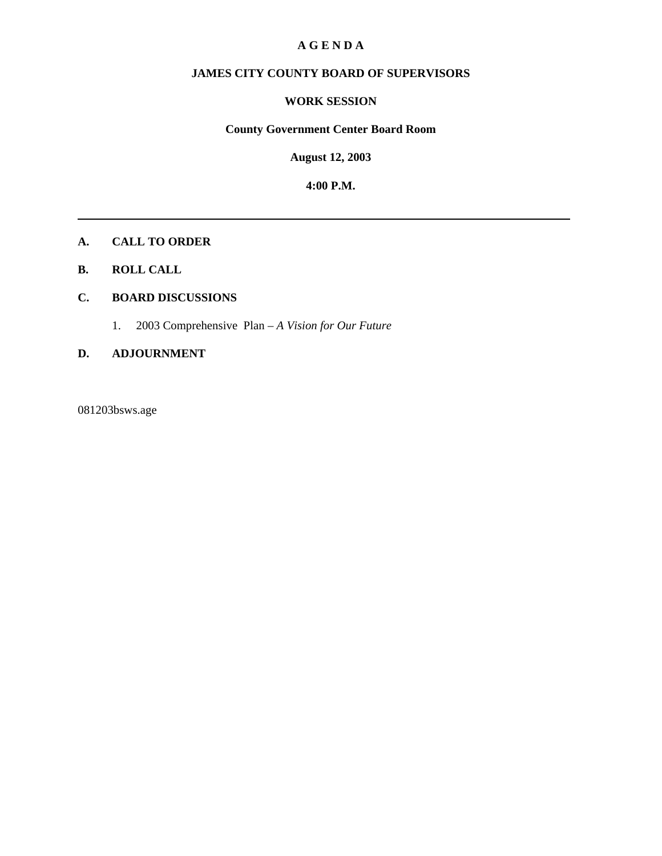#### **A G E N D A**

### **JAMES CITY COUNTY BOARD OF SUPERVISORS**

#### **WORK SESSION**

#### **County Government Center Board Room**

**August 12, 2003**

**4:00 P.M.**

#### **A. CALL TO ORDER**

**B. ROLL CALL**

#### **C. BOARD DISCUSSIONS**

1. 2003 Comprehensive Plan – *A Vision for Our Future*

#### **D. ADJOURNMENT**

081203bsws.age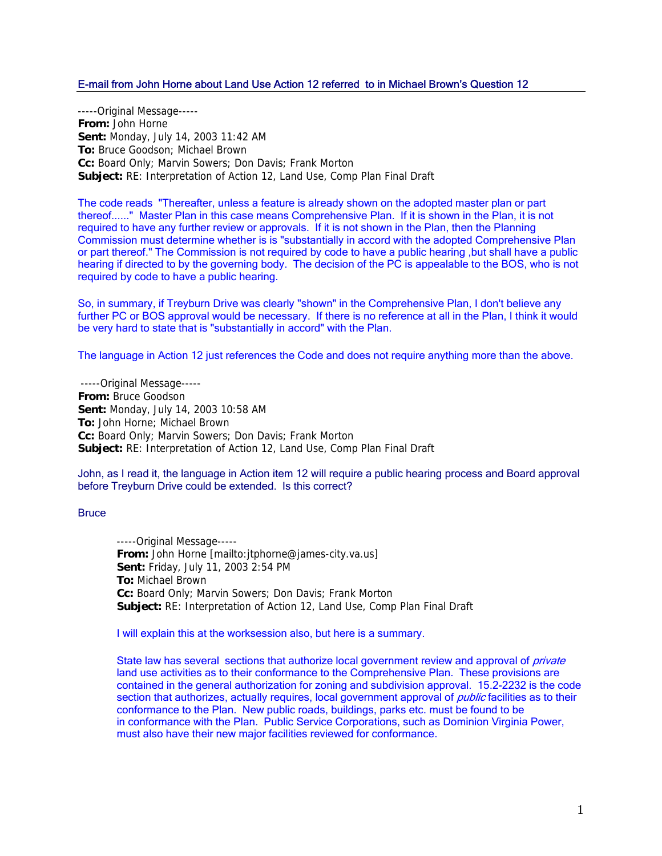#### E-mail from John Horne about Land Use Action 12 referred to in Michael Brown's Question 12

-----Original Message----- **From:** John Horne **Sent:** Monday, July 14, 2003 11:42 AM **To:** Bruce Goodson; Michael Brown **Cc:** Board Only; Marvin Sowers; Don Davis; Frank Morton **Subject:** RE: Interpretation of Action 12, Land Use, Comp Plan Final Draft

The code reads "Thereafter, unless a feature is already shown on the adopted master plan or part thereof......" Master Plan in this case means Comprehensive Plan. If it is shown in the Plan, it is not required to have any further review or approvals. If it is not shown in the Plan, then the Planning Commission must determine whether is is "substantially in accord with the adopted Comprehensive Plan or part thereof." The Commission is not required by code to have a public hearing ,but shall have a public hearing if directed to by the governing body. The decision of the PC is appealable to the BOS, who is not required by code to have a public hearing.

So, in summary, if Treyburn Drive was clearly "shown" in the Comprehensive Plan, I don't believe any further PC or BOS approval would be necessary. If there is no reference at all in the Plan, I think it would be very hard to state that is "substantially in accord" with the Plan.

The language in Action 12 just references the Code and does not require anything more than the above.

-----Original Message----- **From:** Bruce Goodson **Sent:** Monday, July 14, 2003 10:58 AM **To:** John Horne; Michael Brown **Cc:** Board Only; Marvin Sowers; Don Davis; Frank Morton **Subject:** RE: Interpretation of Action 12, Land Use, Comp Plan Final Draft

#### John, as I read it, the language in Action item 12 will require a public hearing process and Board approval before Treyburn Drive could be extended. Is this correct?

#### **Bruce**

-----Original Message----- **From:** John Horne [mailto:jtphorne@james-city.va.us] **Sent:** Friday, July 11, 2003 2:54 PM **To:** Michael Brown **Cc:** Board Only; Marvin Sowers; Don Davis; Frank Morton **Subject:** RE: Interpretation of Action 12, Land Use, Comp Plan Final Draft

I will explain this at the worksession also, but here is a summary.

State law has several sections that authorize local government review and approval of *private* land use activities as to their conformance to the Comprehensive Plan. These provisions are contained in the general authorization for zoning and subdivision approval. 15.2-2232 is the code section that authorizes, actually requires, local government approval of *public* facilities as to their conformance to the Plan. New public roads, buildings, parks etc. must be found to be in conformance with the Plan. Public Service Corporations, such as Dominion Virginia Power, must also have their new major facilities reviewed for conformance.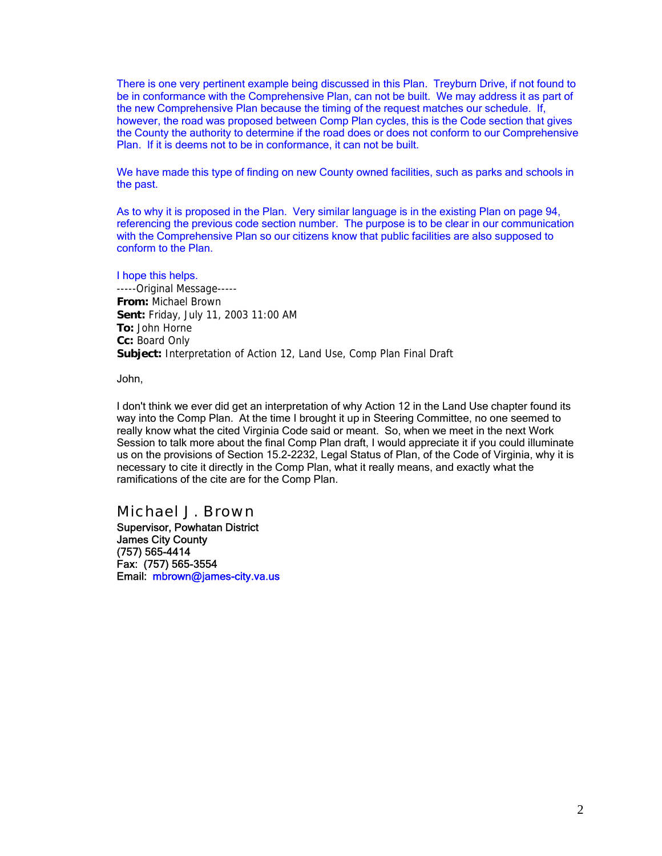There is one very pertinent example being discussed in this Plan. Treyburn Drive, if not found to be in conformance with the Comprehensive Plan, can not be built. We may address it as part of the new Comprehensive Plan because the timing of the request matches our schedule. If, however, the road was proposed between Comp Plan cycles, this is the Code section that gives the County the authority to determine if the road does or does not conform to our Comprehensive Plan. If it is deems not to be in conformance, it can not be built.

We have made this type of finding on new County owned facilities, such as parks and schools in the past.

As to why it is proposed in the Plan. Very similar language is in the existing Plan on page 94, referencing the previous code section number. The purpose is to be clear in our communication with the Comprehensive Plan so our citizens know that public facilities are also supposed to conform to the Plan.

I hope this helps. -----Original Message----- **From:** Michael Brown **Sent:** Friday, July 11, 2003 11:00 AM **To:** John Horne **Cc:** Board Only **Subject:** Interpretation of Action 12, Land Use, Comp Plan Final Draft

John,

I don't think we ever did get an interpretation of why Action 12 in the Land Use chapter found its way into the Comp Plan. At the time I brought it up in Steering Committee, no one seemed to really know what the cited Virginia Code said or meant. So, when we meet in the next Work Session to talk more about the final Comp Plan draft, I would appreciate it if you could illuminate us on the provisions of Section 15.2-2232, Legal Status of Plan, of the Code of Virginia, why it is necessary to cite it directly in the Comp Plan, what it really means, and exactly what the ramifications of the cite are for the Comp Plan.

#### *Michael J. Brown*

Supervisor, Powhatan District James City County (757) 565-4414 Fax: (757) 565-3554 Email: mbrown@james-city.va.us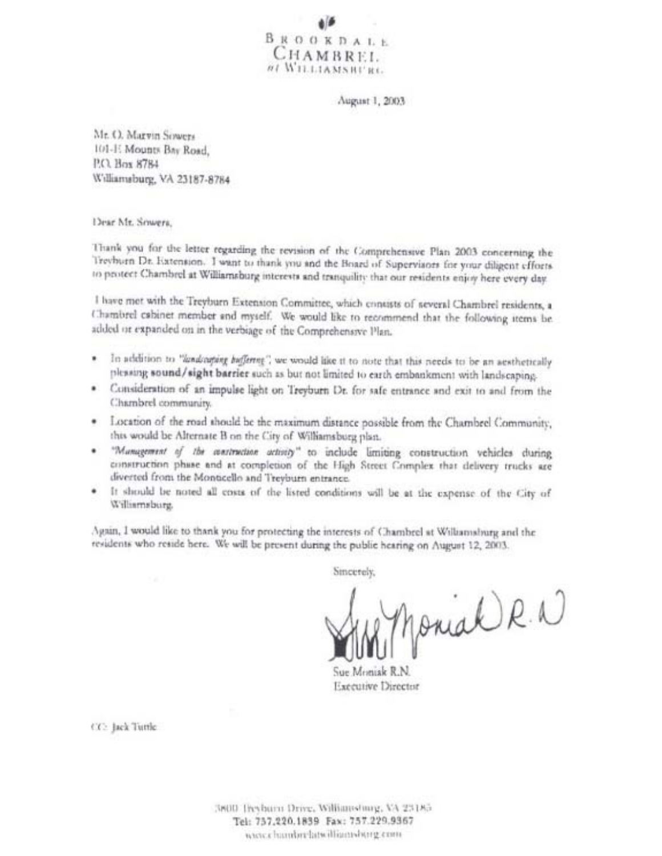$\begin{array}{l} B \ \mathbb{R} \ \mathbb{O} \ \mathbb{O} \ \mathbb{K} \ \mathbb{D} \ \mathbb{A} \ \mathbb{L} \ \mathbb{E} \end{array}$ CHAMBREL. NI WILLIAMS RURE.

August 1, 2003

Mr. O. Marvin Sowers 101-1: Mounts Bay Road, P.O. Box 8784 Williamsburg, VA 23187-8784

Dear Mr. Sowers,

Thank you for the letter regarding the revision of the Comprehensive Plan 2003 concerning the Trevhum Dr. Extension. I want to thank you and the Board of Supervisors for your diligent efforts to protect Chambrel at Williamsburg interests and tranquility that our residents enjoy here every day.

I have mot with the Treyburn Extension Committee, which contasts of several Chambrel residents, a Chambrel cabinet member and myself. We would like to recommend that the following items be added or expanded on in the verbiage of the Comprehensive Plan.

- In addition to "landcaping baffering", we would like it to note that this needs to be an aesthetically plessing sound/sight barrier such as but not limited to earth embankment with landscaping.
- · Consideration of an impulse light on Treyburn Dr. for safe entrance and exit to and from the Chambrel community.
- · Location of the road should be the maximum distance possible from the Chambrel Community, this would be Alternate B on the City of Williamsburg plan.
- "Management of the aventruction activity" to include limiting construction vehicles during construction phase and at completion of the High Street Complex that delivery trucks are diverted from the Monticello and Treyburn entrance.
- It should be noted all costs of the listed conditions will be at the expense of the City of Williamsburg.

Again, I would like to thank you for protecting the interests of Chambrel at Williamsburg and the residents who reside here. We will be present during the public hearing on August 12, 2003.

Sincerely,

Monial R. W

Sue Monisk R.N. Executive Director

CC: Jack Tuttle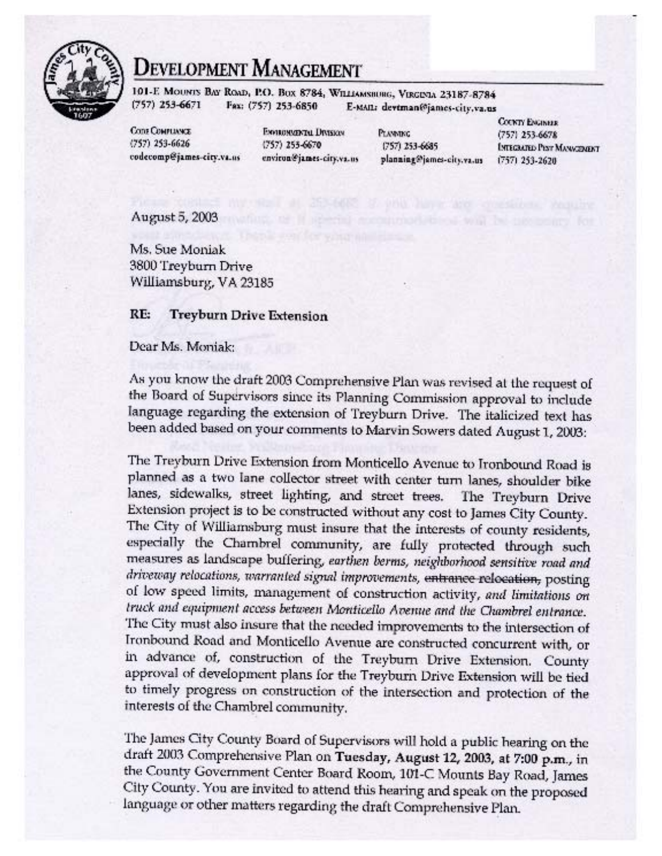

# Development Management

101-E MOUNTS BAT ROAD, P.O. BOX 8784, WILLIAMSHUHG, VERGENIA 23187-8784  $(757)$  253-6671 Fax: (757) 253-6850 E-MAIL: devtman@james-city,va.us

**Come COMPLINNEE**  $(757)$  253-6626 codecomp@james-city.va.us

**ENVIRONMENTAL DIVISION**  $(757)$  255-6670 environ@james-city.va.us **PLANNING** 0571 253-6685 planning@james-city.va.us

**COUNTY ENGINEER** (757) 253-6678 **INTEGRATED PIST MANAGEMENT**  $(757)$  253-2620

August 5, 2003

Ms. Sue Moniak 3800 Treyburn Drive Williamsburg, VA 23185

#### RE: **Treyburn Drive Extension**

#### Dear Ms. Moniak:

As you know the draft 2003 Comprehensive Plan was revised at the request of the Board of Supervisors since its Planning Commission approval to include language regarding the extension of Treyburn Drive. The italicized text has been added based on your comments to Marvin Sowers dated August 1, 2003:

The Treyburn Drive Extension from Monticello Avenue to Ironbound Road is planned as a two lane collector street with center turn lanes, shoulder bike lanes, sidewalks, street lighting, and street trees. The Treyburn Drive Extension project is to be constructed without any cost to James City County. The City of Williamsburg must insure that the interests of county residents, especially the Chambrel community, are fully protected through such measures as landscape buffering, earthen berms, neighborhood sensitive road and driveway relocations, warranted signal improvements, entrance relocation, posting of low speed limits, management of construction activity, and limitations on truck and equipment access between Monticello Avenue and the Chambrel entrance. The City must also insure that the needed improvements to the intersection of Ironbound Road and Monticello Avenue are constructed concurrent with, or in advance of, construction of the Treyburn Drive Extension. County approval of development plans for the Treyburn Drive Extension will be tied to timely progress on construction of the intersection and protection of the interests of the Chambrel community.

The James City County Board of Supervisors will hold a public hearing on the draft 2003 Comprehensive Plan on Tuesday, August 12, 2003, at 7:00 p.m., in the County Government Center Board Room, 101-C Mounts Bay Road, James City County. You are invited to attend this hearing and speak on the proposed language or other matters regarding the draft Comprehensive Plan.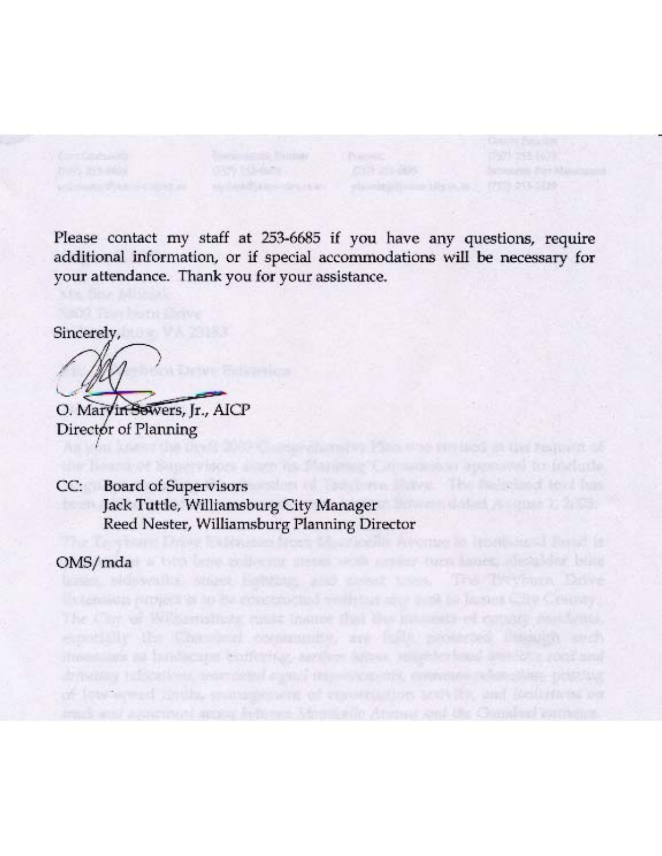Please contact my staff at 253-6685 if you have any questions, require additional information, or if special accommodations will be necessary for your attendance. Thank you for your assistance.

The flexioning love that

Sincerely,

O. Maryin Sewers, Jr., AICP Director of Planning

**Board of Supervisors**  $CC:$ Jack Tuttle, Williamsburg City Manager Reed Nester, Williamsburg Planning Director

stags at his scare, Reflective aware what was

or low-termed going, componished in remains that at

one such a

OMS/mda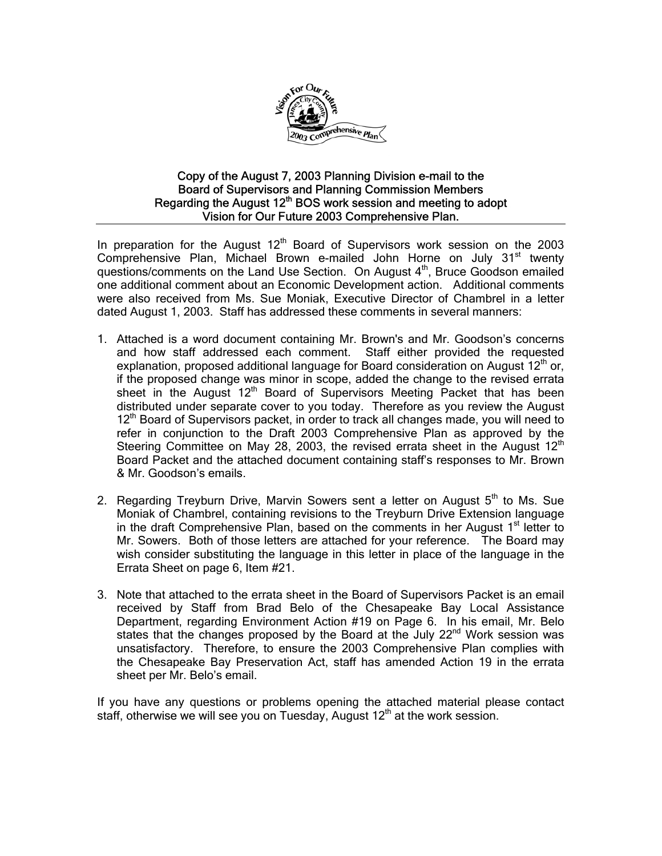

#### Copy of the August 7, 2003 Planning Division e-mail to the Board of Supervisors and Planning Commission Members Regarding the August  $12<sup>th</sup>$  BOS work session and meeting to adopt Vision for Our Future 2003 Comprehensive Plan.

In preparation for the August  $12<sup>th</sup>$  Board of Supervisors work session on the 2003 Comprehensive Plan, Michael Brown e-mailed John Horne on July 31<sup>st</sup> twenty questions/comments on the Land Use Section. On August  $4<sup>th</sup>$ , Bruce Goodson emailed one additional comment about an Economic Development action. Additional comments were also received from Ms. Sue Moniak, Executive Director of Chambrel in a letter dated August 1, 2003. Staff has addressed these comments in several manners:

- 1. Attached is a word document containing Mr. Brown's and Mr. Goodson's concerns and how staff addressed each comment. Staff either provided the requested explanation, proposed additional language for Board consideration on August  $12<sup>th</sup>$  or, if the proposed change was minor in scope, added the change to the revised errata sheet in the August 12<sup>th</sup> Board of Supervisors Meeting Packet that has been distributed under separate cover to you today. Therefore as you review the August 12<sup>th</sup> Board of Supervisors packet, in order to track all changes made, you will need to refer in conjunction to the Draft 2003 Comprehensive Plan as approved by the Steering Committee on May 28, 2003, the revised errata sheet in the August  $12<sup>th</sup>$ Board Packet and the attached document containing staff's responses to Mr. Brown & Mr. Goodson's emails.
- 2. Regarding Treyburn Drive, Marvin Sowers sent a letter on August  $5<sup>th</sup>$  to Ms. Sue Moniak of Chambrel, containing revisions to the Treyburn Drive Extension language in the draft Comprehensive Plan, based on the comments in her August  $1<sup>st</sup>$  letter to Mr. Sowers. Both of those letters are attached for your reference. The Board may wish consider substituting the language in this letter in place of the language in the Errata Sheet on page 6, Item #21.
- 3. Note that attached to the errata sheet in the Board of Supervisors Packet is an email received by Staff from Brad Belo of the Chesapeake Bay Local Assistance Department, regarding Environment Action #19 on Page 6. In his email, Mr. Belo states that the changes proposed by the Board at the July 22<sup>nd</sup> Work session was unsatisfactory. Therefore, to ensure the 2003 Comprehensive Plan complies with the Chesapeake Bay Preservation Act, staff has amended Action 19 in the errata sheet per Mr. Belo's email.

If you have any questions or problems opening the attached material please contact staff, otherwise we will see you on Tuesday, August  $12<sup>th</sup>$  at the work session.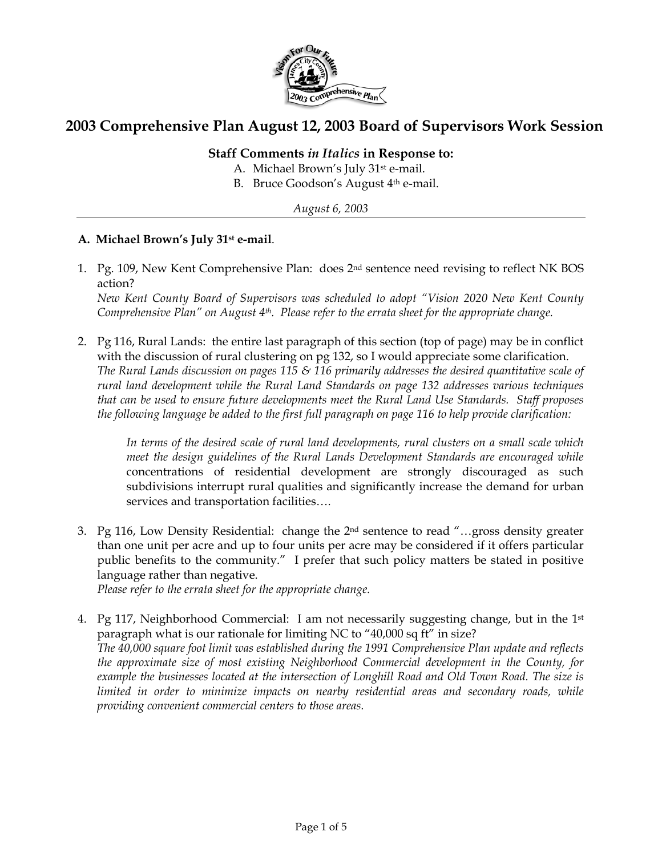

## **2003 Comprehensive Plan August 12, 2003 Board of Supervisors Work Session**

### **Staff Comments** *in Italics* **in Response to:**

- A. Michael Brown's July 31st e-mail.
- B. Bruce Goodson's August 4th e-mail.

*August 6, 2003* 

#### **A. Michael Brown's July 31st e-mail**.

1. Pg. 109, New Kent Comprehensive Plan: does 2nd sentence need revising to reflect NK BOS action?

*New Kent County Board of Supervisors was scheduled to adopt "Vision 2020 New Kent County Comprehensive Plan" on August 4th. Please refer to the errata sheet for the appropriate change.* 

2. Pg 116, Rural Lands: the entire last paragraph of this section (top of page) may be in conflict with the discussion of rural clustering on pg 132, so I would appreciate some clarification. *The Rural Lands discussion on pages 115 & 116 primarily addresses the desired quantitative scale of rural land development while the Rural Land Standards on page 132 addresses various techniques that can be used to ensure future developments meet the Rural Land Use Standards. Staff proposes the following language be added to the first full paragraph on page 116 to help provide clarification:* 

*In terms of the desired scale of rural land developments, rural clusters on a small scale which meet the design guidelines of the Rural Lands Development Standards are encouraged while*  concentrations of residential development are strongly discouraged as such subdivisions interrupt rural qualities and significantly increase the demand for urban services and transportation facilities….

3. Pg 116, Low Density Residential: change the 2nd sentence to read "…gross density greater than one unit per acre and up to four units per acre may be considered if it offers particular public benefits to the community." I prefer that such policy matters be stated in positive language rather than negative.

*Please refer to the errata sheet for the appropriate change.*

4. Pg 117, Neighborhood Commercial: I am not necessarily suggesting change, but in the  $1<sup>st</sup>$ paragraph what is our rationale for limiting NC to "40,000 sq ft" in size? *The 40,000 square foot limit was established during the 1991 Comprehensive Plan update and reflects the approximate size of most existing Neighborhood Commercial development in the County, for*  example the businesses located at the intersection of Longhill Road and Old Town Road. The size is *limited in order to minimize impacts on nearby residential areas and secondary roads, while providing convenient commercial centers to those areas.*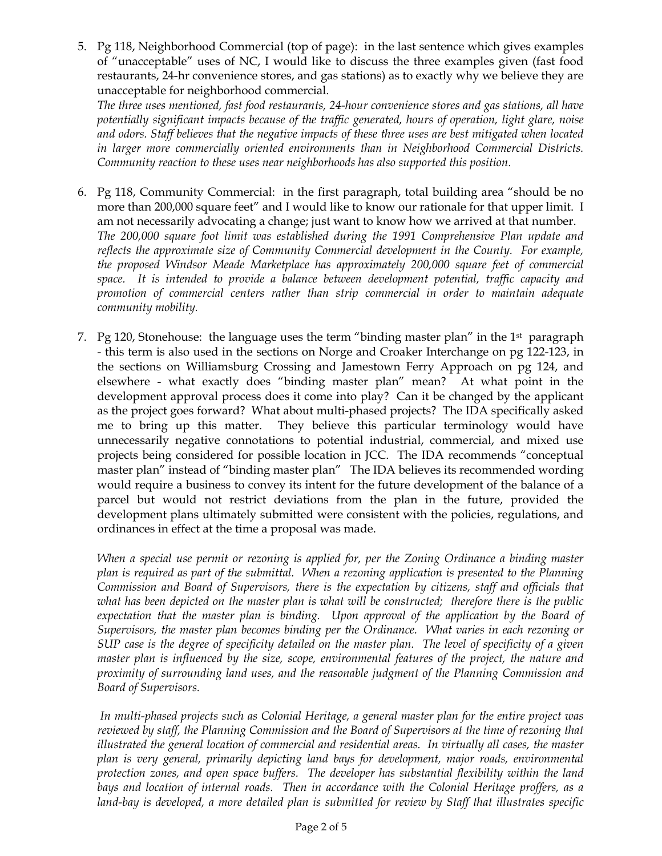5. Pg 118, Neighborhood Commercial (top of page): in the last sentence which gives examples of "unacceptable" uses of NC, I would like to discuss the three examples given (fast food restaurants, 24-hr convenience stores, and gas stations) as to exactly why we believe they are unacceptable for neighborhood commercial.

*The three uses mentioned, fast food restaurants, 24-hour convenience stores and gas stations, all have potentially significant impacts because of the traffic generated, hours of operation, light glare, noise and odors. Staff believes that the negative impacts of these three uses are best mitigated when located in larger more commercially oriented environments than in Neighborhood Commercial Districts. Community reaction to these uses near neighborhoods has also supported this position.* 

- 6. Pg 118, Community Commercial: in the first paragraph, total building area "should be no more than 200,000 square feet" and I would like to know our rationale for that upper limit. I am not necessarily advocating a change; just want to know how we arrived at that number. *The 200,000 square foot limit was established during the 1991 Comprehensive Plan update and reflects the approximate size of Community Commercial development in the County. For example, the proposed Windsor Meade Marketplace has approximately 200,000 square feet of commercial space. It is intended to provide a balance between development potential, traffic capacity and promotion of commercial centers rather than strip commercial in order to maintain adequate community mobility.*
- 7. Pg 120, Stonehouse: the language uses the term "binding master plan" in the 1<sup>st</sup> paragraph - this term is also used in the sections on Norge and Croaker Interchange on pg 122-123, in the sections on Williamsburg Crossing and Jamestown Ferry Approach on pg 124, and elsewhere - what exactly does "binding master plan" mean? At what point in the development approval process does it come into play? Can it be changed by the applicant as the project goes forward? What about multi-phased projects? The IDA specifically asked me to bring up this matter. They believe this particular terminology would have unnecessarily negative connotations to potential industrial, commercial, and mixed use projects being considered for possible location in JCC. The IDA recommends "conceptual master plan" instead of "binding master plan" The IDA believes its recommended wording would require a business to convey its intent for the future development of the balance of a parcel but would not restrict deviations from the plan in the future, provided the development plans ultimately submitted were consistent with the policies, regulations, and ordinances in effect at the time a proposal was made.

*When a special use permit or rezoning is applied for, per the Zoning Ordinance a binding master plan is required as part of the submittal. When a rezoning application is presented to the Planning Commission and Board of Supervisors, there is the expectation by citizens, staff and officials that what has been depicted on the master plan is what will be constructed; therefore there is the public*  expectation that the master plan is binding. Upon approval of the application by the Board of *Supervisors, the master plan becomes binding per the Ordinance. What varies in each rezoning or SUP case is the degree of specificity detailed on the master plan. The level of specificity of a given master plan is influenced by the size, scope, environmental features of the project, the nature and proximity of surrounding land uses, and the reasonable judgment of the Planning Commission and Board of Supervisors.* 

 *In multi-phased projects such as Colonial Heritage, a general master plan for the entire project was reviewed by staff, the Planning Commission and the Board of Supervisors at the time of rezoning that illustrated the general location of commercial and residential areas. In virtually all cases, the master plan is very general, primarily depicting land bays for development, major roads, environmental protection zones, and open space buffers. The developer has substantial flexibility within the land bays and location of internal roads. Then in accordance with the Colonial Heritage proffers, as a land-bay is developed, a more detailed plan is submitted for review by Staff that illustrates specific*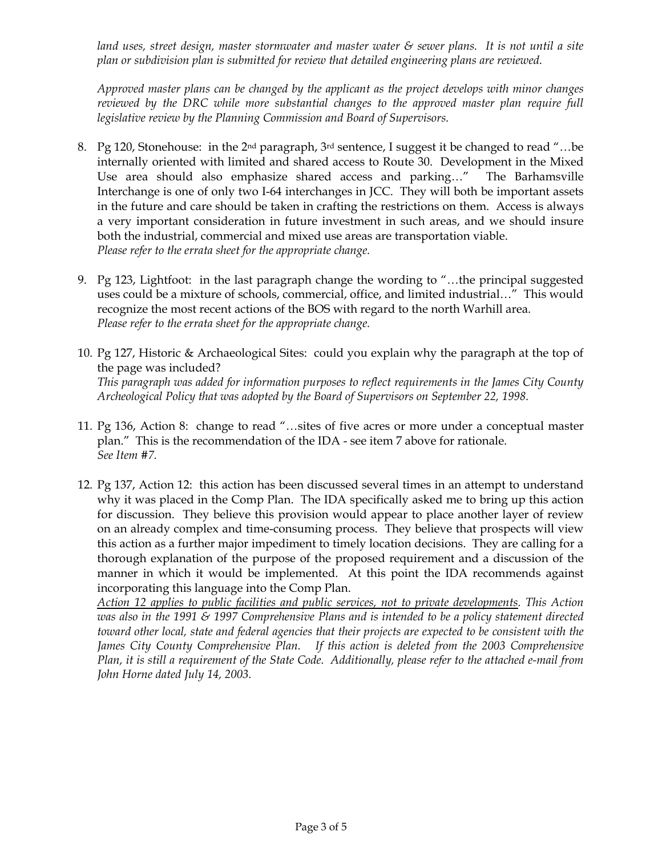*land uses, street design, master stormwater and master water & sewer plans. It is not until a site plan or subdivision plan is submitted for review that detailed engineering plans are reviewed.* 

*Approved master plans can be changed by the applicant as the project develops with minor changes reviewed by the DRC while more substantial changes to the approved master plan require full legislative review by the Planning Commission and Board of Supervisors.* 

- 8. Pg 120, Stonehouse: in the 2<sup>nd</sup> paragraph, 3<sup>rd</sup> sentence, I suggest it be changed to read "...be internally oriented with limited and shared access to Route 30. Development in the Mixed Use area should also emphasize shared access and parking…" The Barhamsville Interchange is one of only two I-64 interchanges in JCC. They will both be important assets in the future and care should be taken in crafting the restrictions on them. Access is always a very important consideration in future investment in such areas, and we should insure both the industrial, commercial and mixed use areas are transportation viable. *Please refer to the errata sheet for the appropriate change.*
- 9. Pg 123, Lightfoot: in the last paragraph change the wording to "…the principal suggested uses could be a mixture of schools, commercial, office, and limited industrial…" This would recognize the most recent actions of the BOS with regard to the north Warhill area. *Please refer to the errata sheet for the appropriate change.*
- 10. Pg 127, Historic & Archaeological Sites: could you explain why the paragraph at the top of the page was included? *This paragraph was added for information purposes to reflect requirements in the James City County Archeological Policy that was adopted by the Board of Supervisors on September 22, 1998.*
- 11. Pg 136, Action 8: change to read "…sites of five acres or more under a conceptual master plan." This is the recommendation of the IDA - see item 7 above for rationale. *See Item #7.*
- 12. Pg 137, Action 12: this action has been discussed several times in an attempt to understand why it was placed in the Comp Plan. The IDA specifically asked me to bring up this action for discussion. They believe this provision would appear to place another layer of review on an already complex and time-consuming process. They believe that prospects will view this action as a further major impediment to timely location decisions. They are calling for a thorough explanation of the purpose of the proposed requirement and a discussion of the manner in which it would be implemented. At this point the IDA recommends against incorporating this language into the Comp Plan.

*Action 12 applies to public facilities and public services, not to private developments. This Action was also in the 1991 & 1997 Comprehensive Plans and is intended to be a policy statement directed toward other local, state and federal agencies that their projects are expected to be consistent with the*  James City County Comprehensive Plan. If this action is deleted from the 2003 Comprehensive *Plan, it is still a requirement of the State Code. Additionally, please refer to the attached e-mail from John Horne dated July 14, 2003.*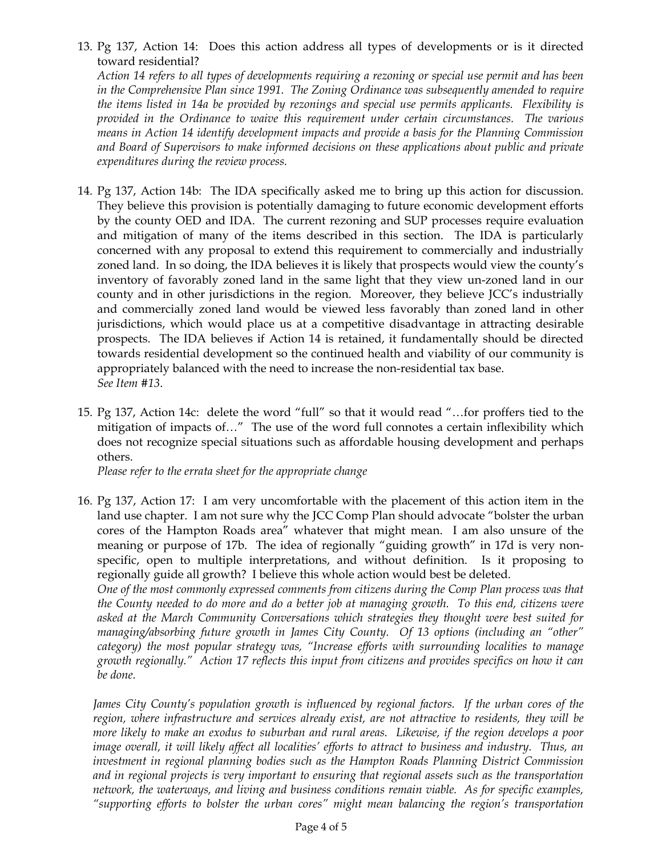13. Pg 137, Action 14: Does this action address all types of developments or is it directed toward residential?

*Action 14 refers to all types of developments requiring a rezoning or special use permit and has been in the Comprehensive Plan since 1991. The Zoning Ordinance was subsequently amended to require the items listed in 14a be provided by rezonings and special use permits applicants. Flexibility is provided in the Ordinance to waive this requirement under certain circumstances. The various means in Action 14 identify development impacts and provide a basis for the Planning Commission and Board of Supervisors to make informed decisions on these applications about public and private expenditures during the review process.*

- 14. Pg 137, Action 14b: The IDA specifically asked me to bring up this action for discussion. They believe this provision is potentially damaging to future economic development efforts by the county OED and IDA. The current rezoning and SUP processes require evaluation and mitigation of many of the items described in this section. The IDA is particularly concerned with any proposal to extend this requirement to commercially and industrially zoned land. In so doing, the IDA believes it is likely that prospects would view the county's inventory of favorably zoned land in the same light that they view un-zoned land in our county and in other jurisdictions in the region. Moreover, they believe JCC's industrially and commercially zoned land would be viewed less favorably than zoned land in other jurisdictions, which would place us at a competitive disadvantage in attracting desirable prospects. The IDA believes if Action 14 is retained, it fundamentally should be directed towards residential development so the continued health and viability of our community is appropriately balanced with the need to increase the non-residential tax base. *See Item #13*.
- 15. Pg 137, Action 14c: delete the word "full" so that it would read "…for proffers tied to the mitigation of impacts of…" The use of the word full connotes a certain inflexibility which does not recognize special situations such as affordable housing development and perhaps others.

*Please refer to the errata sheet for the appropriate change*

16. Pg 137, Action 17: I am very uncomfortable with the placement of this action item in the land use chapter. I am not sure why the JCC Comp Plan should advocate "bolster the urban cores of the Hampton Roads area" whatever that might mean. I am also unsure of the meaning or purpose of 17b. The idea of regionally "guiding growth" in 17d is very nonspecific, open to multiple interpretations, and without definition. Is it proposing to regionally guide all growth? I believe this whole action would best be deleted.

*One of the most commonly expressed comments from citizens during the Comp Plan process was that the County needed to do more and do a better job at managing growth. To this end, citizens were asked at the March Community Conversations which strategies they thought were best suited for managing/absorbing future growth in James City County. Of 13 options (including an "other" category) the most popular strategy was, "Increase efforts with surrounding localities to manage growth regionally." Action 17 reflects this input from citizens and provides specifics on how it can be done.* 

*James City County's population growth is influenced by regional factors. If the urban cores of the region, where infrastructure and services already exist, are not attractive to residents, they will be more likely to make an exodus to suburban and rural areas. Likewise, if the region develops a poor image overall, it will likely affect all localities' efforts to attract to business and industry. Thus, an investment in regional planning bodies such as the Hampton Roads Planning District Commission and in regional projects is very important to ensuring that regional assets such as the transportation network, the waterways, and living and business conditions remain viable. As for specific examples, "supporting efforts to bolster the urban cores" might mean balancing the region's transportation*